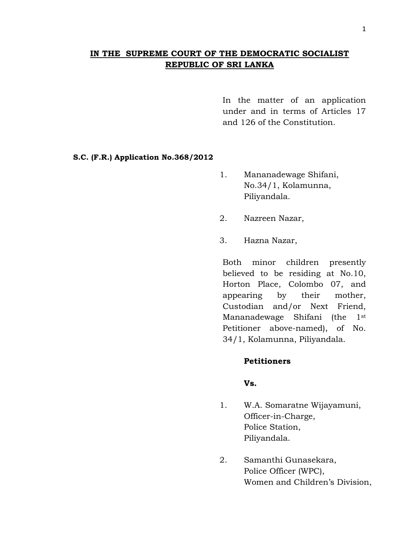# **IN THE SUPREME COURT OF THE DEMOCRATIC SOCIALIST REPUBLIC OF SRI LANKA**

In the matter of an application under and in terms of Articles 17 and 126 of the Constitution.

#### **S.C. (F.R.) Application No.368/2012**

- 1. Mananadewage Shifani, No.34/1, Kolamunna, Piliyandala.
- 2. Nazreen Nazar,
- 3. Hazna Nazar,

Both minor children presently believed to be residing at No.10, Horton Place, Colombo 07, and appearing by their mother, Custodian and/or Next Friend, Mananadewage Shifani (the 1st Petitioner above-named), of No. 34/1, Kolamunna, Piliyandala.

## **Petitioners**

## **Vs.**

- 1. W.A. Somaratne Wijayamuni, Officer-in-Charge, Police Station, Piliyandala.
- 2. Samanthi Gunasekara, Police Officer (WPC), Women and Children"s Division,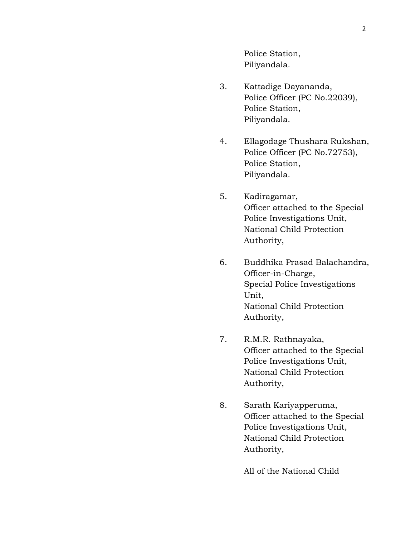Police Station, Piliyandala.

- 3. Kattadige Dayananda, Police Officer (PC No.22039), Police Station, Piliyandala.
- 4. Ellagodage Thushara Rukshan, Police Officer (PC No.72753), Police Station, Piliyandala.
- 5. Kadiragamar, Officer attached to the Special Police Investigations Unit, National Child Protection Authority,
- 6. Buddhika Prasad Balachandra, Officer-in-Charge, Special Police Investigations Unit, National Child Protection Authority,
- 7. R.M.R. Rathnayaka, Officer attached to the Special Police Investigations Unit, National Child Protection Authority,
- 8. Sarath Kariyapperuma, Officer attached to the Special Police Investigations Unit, National Child Protection Authority,

All of the National Child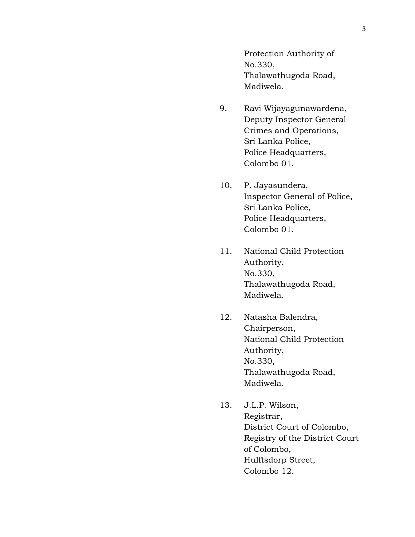Protection Authority of No.330, Thalawathugoda Road, Madiwela.

- 9. Ravi Wijayagunawardena, Deputy Inspector General-Crimes and Operations, Sri Lanka Police, Police Headquarters, Colombo 01.
- 10. P. Jayasundera, Inspector General of Police, Sri Lanka Police, Police Headquarters, Colombo 01.
- 11. National Child Protection Authority, No.330, Thalawathugoda Road, Madiwela.
- 12. Natasha Balendra, Chairperson, National Child Protection Authority, No.330, Thalawathugoda Road, Madiwela.
- 13. J.L.P. Wilson, Registrar, District Court of Colombo, Registry of the District Court of Colombo, Hulftsdorp Street, Colombo 12.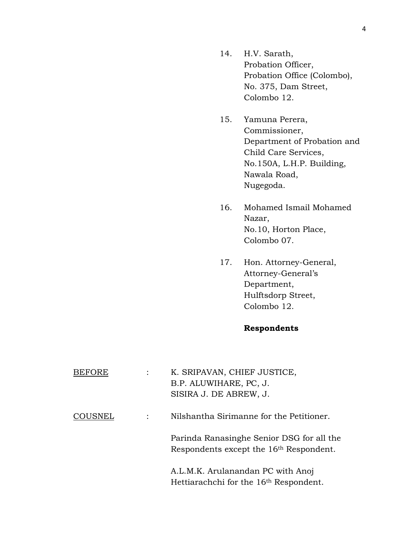- 14. H.V. Sarath, Probation Officer, Probation Office (Colombo), No. 375, Dam Street, Colombo 12.
- 15. Yamuna Perera, Commissioner, Department of Probation and Child Care Services, No.150A, L.H.P. Building, Nawala Road, Nugegoda.
- 16. Mohamed Ismail Mohamed Nazar, No.10, Horton Place, Colombo 07.
- 17. Hon. Attorney-General, Attorney-General's Department, Hulftsdorp Street, Colombo 12.

# **Respondents**

| BEFORE  | K. SRIPAVAN, CHIEF JUSTICE,<br>B.P. ALUWIHARE, PC, J.<br>SISIRA J. DE ABREW, J.                  |
|---------|--------------------------------------------------------------------------------------------------|
| COUSNEL | Nilshantha Sirimanne for the Petitioner.                                                         |
|         | Parinda Ranasinghe Senior DSG for all the<br>Respondents except the 16 <sup>th</sup> Respondent. |
|         | A.L.M.K. Arulanandan PC with Anoj<br>Hettiarachchi for the 16 <sup>th</sup> Respondent.          |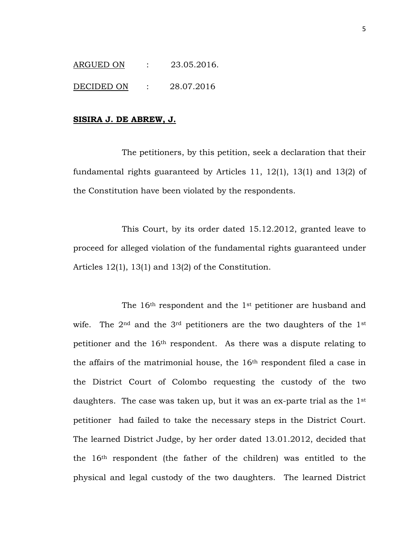ARGUED ON : 23.05.2016.

DECIDED ON : 28.07.2016

#### **SISIRA J. DE ABREW, J.**

The petitioners, by this petition, seek a declaration that their fundamental rights guaranteed by Articles 11, 12(1), 13(1) and 13(2) of the Constitution have been violated by the respondents.

This Court, by its order dated 15.12.2012, granted leave to proceed for alleged violation of the fundamental rights guaranteed under Articles 12(1), 13(1) and 13(2) of the Constitution.

The 16<sup>th</sup> respondent and the 1<sup>st</sup> petitioner are husband and wife. The  $2<sup>nd</sup>$  and the  $3<sup>rd</sup>$  petitioners are the two daughters of the  $1<sup>st</sup>$ petitioner and the 16th respondent. As there was a dispute relating to the affairs of the matrimonial house, the 16th respondent filed a case in the District Court of Colombo requesting the custody of the two daughters. The case was taken up, but it was an ex-parte trial as the 1<sup>st</sup> petitioner had failed to take the necessary steps in the District Court. The learned District Judge, by her order dated 13.01.2012, decided that the 16th respondent (the father of the children) was entitled to the physical and legal custody of the two daughters. The learned District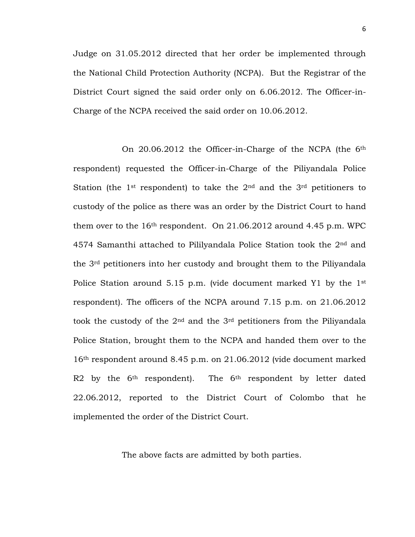Judge on 31.05.2012 directed that her order be implemented through the National Child Protection Authority (NCPA). But the Registrar of the District Court signed the said order only on 6.06.2012. The Officer-in-Charge of the NCPA received the said order on 10.06.2012.

On 20.06.2012 the Officer-in-Charge of the NCPA (the 6th respondent) requested the Officer-in-Charge of the Piliyandala Police Station (the 1<sup>st</sup> respondent) to take the  $2<sup>nd</sup>$  and the  $3<sup>rd</sup>$  petitioners to custody of the police as there was an order by the District Court to hand them over to the  $16<sup>th</sup>$  respondent. On 21.06.2012 around 4.45 p.m. WPC 4574 Samanthi attached to Pililyandala Police Station took the 2nd and the 3rd petitioners into her custody and brought them to the Piliyandala Police Station around 5.15 p.m. (vide document marked Y1 by the 1<sup>st</sup> respondent). The officers of the NCPA around 7.15 p.m. on 21.06.2012 took the custody of the  $2<sup>nd</sup>$  and the  $3<sup>rd</sup>$  petitioners from the Piliyandala Police Station, brought them to the NCPA and handed them over to the 16th respondent around 8.45 p.m. on 21.06.2012 (vide document marked R2 by the  $6<sup>th</sup>$  respondent). The  $6<sup>th</sup>$  respondent by letter dated 22.06.2012, reported to the District Court of Colombo that he implemented the order of the District Court.

The above facts are admitted by both parties.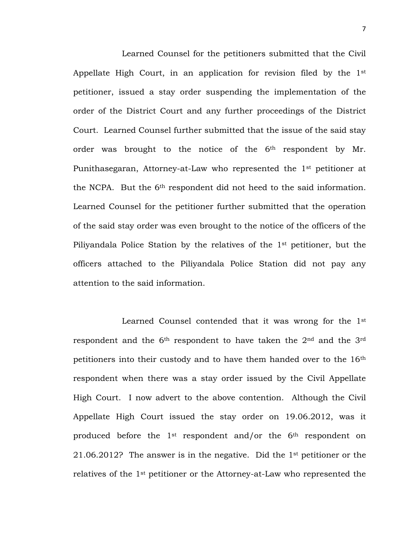Learned Counsel for the petitioners submitted that the Civil Appellate High Court, in an application for revision filed by the 1st petitioner, issued a stay order suspending the implementation of the order of the District Court and any further proceedings of the District Court. Learned Counsel further submitted that the issue of the said stay order was brought to the notice of the 6<sup>th</sup> respondent by Mr. Punithasegaran, Attorney-at-Law who represented the 1<sup>st</sup> petitioner at the NCPA. But the 6th respondent did not heed to the said information. Learned Counsel for the petitioner further submitted that the operation of the said stay order was even brought to the notice of the officers of the Piliyandala Police Station by the relatives of the 1st petitioner, but the officers attached to the Piliyandala Police Station did not pay any attention to the said information.

Learned Counsel contended that it was wrong for the 1st respondent and the  $6<sup>th</sup>$  respondent to have taken the  $2<sup>nd</sup>$  and the  $3<sup>rd</sup>$ petitioners into their custody and to have them handed over to the 16th respondent when there was a stay order issued by the Civil Appellate High Court. I now advert to the above contention. Although the Civil Appellate High Court issued the stay order on 19.06.2012, was it produced before the 1st respondent and/or the 6th respondent on 21.06.2012? The answer is in the negative. Did the 1st petitioner or the relatives of the 1st petitioner or the Attorney-at-Law who represented the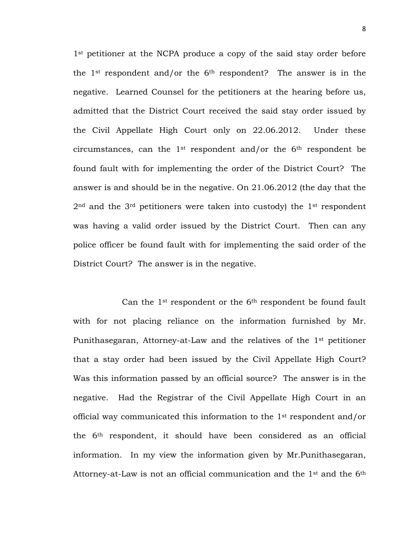1<sup>st</sup> petitioner at the NCPA produce a copy of the said stay order before the  $1<sup>st</sup>$  respondent and/or the  $6<sup>th</sup>$  respondent? The answer is in the negative. Learned Counsel for the petitioners at the hearing before us, admitted that the District Court received the said stay order issued by the Civil Appellate High Court only on 22.06.2012. Under these circumstances, can the  $1<sup>st</sup>$  respondent and/or the  $6<sup>th</sup>$  respondent be found fault with for implementing the order of the District Court? The answer is and should be in the negative. On 21.06.2012 (the day that the  $2<sup>nd</sup>$  and the 3<sup>rd</sup> petitioners were taken into custody) the 1<sup>st</sup> respondent was having a valid order issued by the District Court. Then can any police officer be found fault with for implementing the said order of the District Court? The answer is in the negative.

Can the 1st respondent or the 6th respondent be found fault with for not placing reliance on the information furnished by Mr. Punithasegaran, Attorney-at-Law and the relatives of the 1st petitioner that a stay order had been issued by the Civil Appellate High Court? Was this information passed by an official source? The answer is in the negative. Had the Registrar of the Civil Appellate High Court in an official way communicated this information to the 1st respondent and/or the 6th respondent, it should have been considered as an official information. In my view the information given by Mr.Punithasegaran, Attorney-at-Law is not an official communication and the  $1<sup>st</sup>$  and the  $6<sup>th</sup>$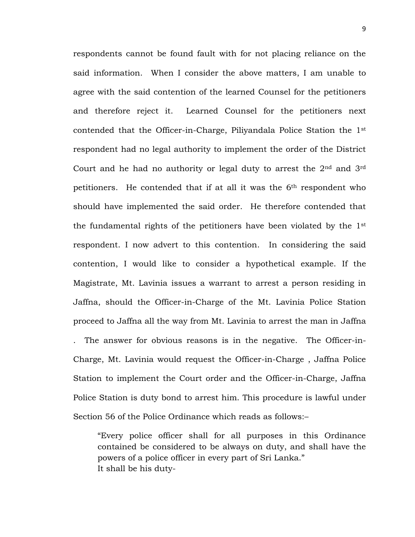respondents cannot be found fault with for not placing reliance on the said information. When I consider the above matters, I am unable to agree with the said contention of the learned Counsel for the petitioners and therefore reject it. Learned Counsel for the petitioners next contended that the Officer-in-Charge, Piliyandala Police Station the 1st respondent had no legal authority to implement the order of the District Court and he had no authority or legal duty to arrest the  $2<sup>nd</sup>$  and  $3<sup>rd</sup>$ petitioners. He contended that if at all it was the 6th respondent who should have implemented the said order. He therefore contended that the fundamental rights of the petitioners have been violated by the 1st respondent. I now advert to this contention. In considering the said contention, I would like to consider a hypothetical example. If the Magistrate, Mt. Lavinia issues a warrant to arrest a person residing in Jaffna, should the Officer-in-Charge of the Mt. Lavinia Police Station proceed to Jaffna all the way from Mt. Lavinia to arrest the man in Jaffna . The answer for obvious reasons is in the negative. The Officer-in-Charge, Mt. Lavinia would request the Officer-in-Charge , Jaffna Police Station to implement the Court order and the Officer-in-Charge, Jaffna Police Station is duty bond to arrest him. This procedure is lawful under Section 56 of the Police Ordinance which reads as follows:–

"Every police officer shall for all purposes in this Ordinance contained be considered to be always on duty, and shall have the powers of a police officer in every part of Sri Lanka." It shall be his duty-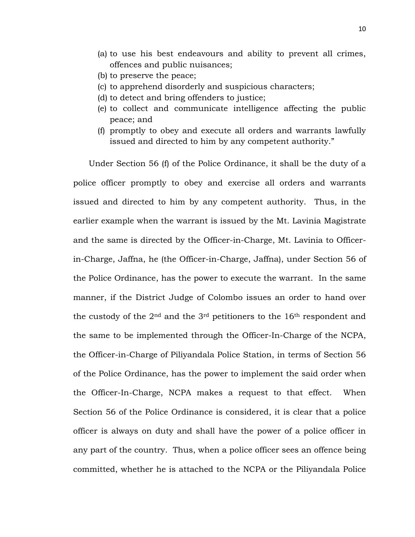- (a) to use his best endeavours and ability to prevent all crimes, offences and public nuisances;
- (b) to preserve the peace;
- (c) to apprehend disorderly and suspicious characters;
- (d) to detect and bring offenders to justice;
- (e) to collect and communicate intelligence affecting the public peace; and
- (f) promptly to obey and execute all orders and warrants lawfully issued and directed to him by any competent authority."

 Under Section 56 (f) of the Police Ordinance, it shall be the duty of a police officer promptly to obey and exercise all orders and warrants issued and directed to him by any competent authority. Thus, in the earlier example when the warrant is issued by the Mt. Lavinia Magistrate and the same is directed by the Officer-in-Charge, Mt. Lavinia to Officerin-Charge, Jaffna, he (the Officer-in-Charge, Jaffna), under Section 56 of the Police Ordinance, has the power to execute the warrant. In the same manner, if the District Judge of Colombo issues an order to hand over the custody of the  $2<sup>nd</sup>$  and the  $3<sup>rd</sup>$  petitioners to the  $16<sup>th</sup>$  respondent and the same to be implemented through the Officer-In-Charge of the NCPA, the Officer-in-Charge of Piliyandala Police Station, in terms of Section 56 of the Police Ordinance, has the power to implement the said order when the Officer-In-Charge, NCPA makes a request to that effect. When Section 56 of the Police Ordinance is considered, it is clear that a police officer is always on duty and shall have the power of a police officer in any part of the country. Thus, when a police officer sees an offence being committed, whether he is attached to the NCPA or the Piliyandala Police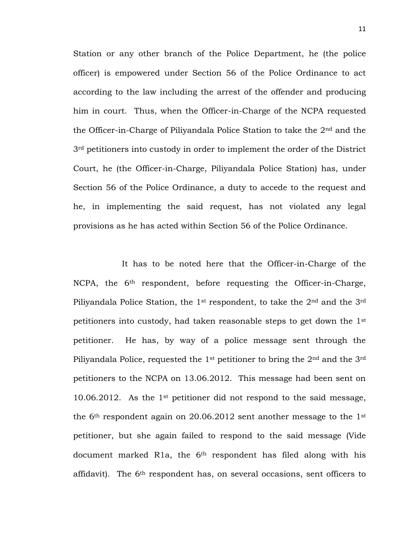Station or any other branch of the Police Department, he (the police officer) is empowered under Section 56 of the Police Ordinance to act according to the law including the arrest of the offender and producing him in court. Thus, when the Officer-in-Charge of the NCPA requested the Officer-in-Charge of Piliyandala Police Station to take the 2nd and the 3<sup>rd</sup> petitioners into custody in order to implement the order of the District Court, he (the Officer-in-Charge, Piliyandala Police Station) has, under Section 56 of the Police Ordinance, a duty to accede to the request and he, in implementing the said request, has not violated any legal provisions as he has acted within Section 56 of the Police Ordinance.

It has to be noted here that the Officer-in-Charge of the NCPA, the 6<sup>th</sup> respondent, before requesting the Officer-in-Charge, Piliyandala Police Station, the 1<sup>st</sup> respondent, to take the  $2<sup>nd</sup>$  and the  $3<sup>rd</sup>$ petitioners into custody, had taken reasonable steps to get down the 1st petitioner. He has, by way of a police message sent through the Piliyandala Police, requested the 1<sup>st</sup> petitioner to bring the 2<sup>nd</sup> and the 3<sup>rd</sup> petitioners to the NCPA on 13.06.2012. This message had been sent on 10.06.2012. As the 1st petitioner did not respond to the said message, the  $6<sup>th</sup>$  respondent again on 20.06.2012 sent another message to the 1st petitioner, but she again failed to respond to the said message (Vide document marked R1a, the 6<sup>th</sup> respondent has filed along with his affidavit). The 6th respondent has, on several occasions, sent officers to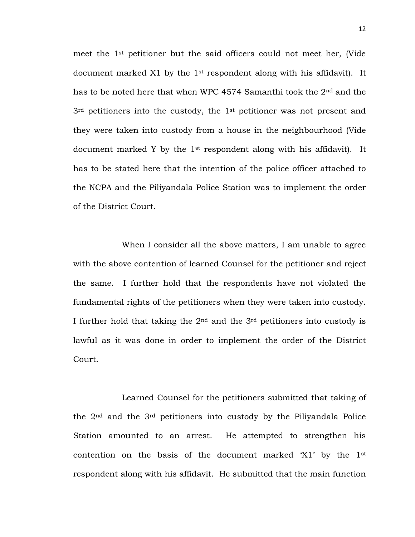meet the 1st petitioner but the said officers could not meet her, (Vide document marked X1 by the 1st respondent along with his affidavit). It has to be noted here that when WPC 4574 Samanthi took the 2nd and the  $3<sup>rd</sup>$  petitioners into the custody, the  $1<sup>st</sup>$  petitioner was not present and they were taken into custody from a house in the neighbourhood (Vide document marked Y by the 1st respondent along with his affidavit). It has to be stated here that the intention of the police officer attached to the NCPA and the Piliyandala Police Station was to implement the order of the District Court.

When I consider all the above matters, I am unable to agree with the above contention of learned Counsel for the petitioner and reject the same. I further hold that the respondents have not violated the fundamental rights of the petitioners when they were taken into custody. I further hold that taking the  $2<sup>nd</sup>$  and the  $3<sup>rd</sup>$  petitioners into custody is lawful as it was done in order to implement the order of the District Court.

Learned Counsel for the petitioners submitted that taking of the 2nd and the 3rd petitioners into custody by the Piliyandala Police Station amounted to an arrest. He attempted to strengthen his contention on the basis of the document marked  $X1'$  by the  $1<sup>st</sup>$ respondent along with his affidavit. He submitted that the main function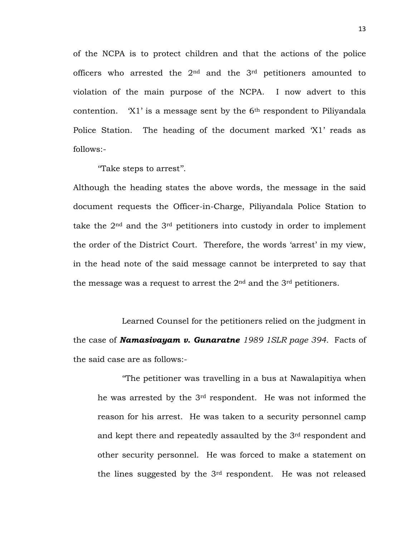of the NCPA is to protect children and that the actions of the police officers who arrested the 2nd and the 3rd petitioners amounted to violation of the main purpose of the NCPA. I now advert to this contention.  $X1'$  is a message sent by the  $6<sup>th</sup>$  respondent to Piliyandala Police Station. The heading of the document marked "X1" reads as follows:-

"Take steps to arrest".

Although the heading states the above words, the message in the said document requests the Officer-in-Charge, Piliyandala Police Station to take the  $2<sup>nd</sup>$  and the  $3<sup>rd</sup>$  petitioners into custody in order to implement the order of the District Court. Therefore, the words "arrest" in my view, in the head note of the said message cannot be interpreted to say that the message was a request to arrest the  $2<sup>nd</sup>$  and the  $3<sup>rd</sup>$  petitioners.

Learned Counsel for the petitioners relied on the judgment in the case of *Namasivayam v. Gunaratne 1989 1SLR page 394.* Facts of the said case are as follows:-

""The petitioner was travelling in a bus at Nawalapitiya when he was arrested by the 3rd respondent. He was not informed the reason for his arrest. He was taken to a security personnel camp and kept there and repeatedly assaulted by the 3rd respondent and other security personnel. He was forced to make a statement on the lines suggested by the 3rd respondent. He was not released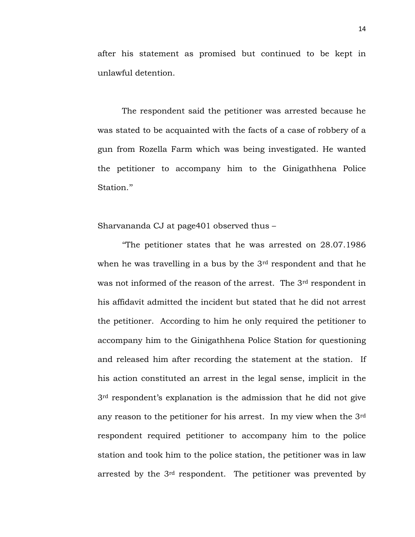after his statement as promised but continued to be kept in unlawful detention.

The respondent said the petitioner was arrested because he was stated to be acquainted with the facts of a case of robbery of a gun from Rozella Farm which was being investigated. He wanted the petitioner to accompany him to the Ginigathhena Police Station."

Sharvananda CJ at page401 observed thus –

""The petitioner states that he was arrested on 28.07.1986 when he was travelling in a bus by the 3<sup>rd</sup> respondent and that he was not informed of the reason of the arrest. The 3<sup>rd</sup> respondent in his affidavit admitted the incident but stated that he did not arrest the petitioner. According to him he only required the petitioner to accompany him to the Ginigathhena Police Station for questioning and released him after recording the statement at the station. If his action constituted an arrest in the legal sense, implicit in the  $3<sup>rd</sup>$  respondent's explanation is the admission that he did not give any reason to the petitioner for his arrest. In my view when the 3rd respondent required petitioner to accompany him to the police station and took him to the police station, the petitioner was in law arrested by the 3rd respondent. The petitioner was prevented by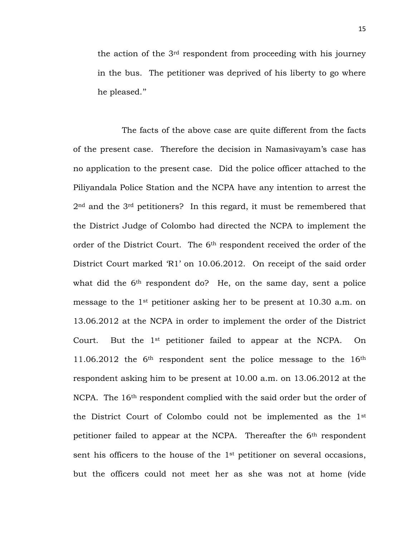the action of the 3rd respondent from proceeding with his journey in the bus. The petitioner was deprived of his liberty to go where he pleased."

The facts of the above case are quite different from the facts of the present case. Therefore the decision in Namasivayam"s case has no application to the present case. Did the police officer attached to the Piliyandala Police Station and the NCPA have any intention to arrest the 2<sup>nd</sup> and the 3<sup>rd</sup> petitioners? In this regard, it must be remembered that the District Judge of Colombo had directed the NCPA to implement the order of the District Court. The 6th respondent received the order of the District Court marked "R1" on 10.06.2012. On receipt of the said order what did the 6<sup>th</sup> respondent do? He, on the same day, sent a police message to the 1st petitioner asking her to be present at 10.30 a.m. on 13.06.2012 at the NCPA in order to implement the order of the District Court. But the 1st petitioner failed to appear at the NCPA. On 11.06.2012 the  $6<sup>th</sup>$  respondent sent the police message to the  $16<sup>th</sup>$ respondent asking him to be present at 10.00 a.m. on 13.06.2012 at the NCPA. The 16<sup>th</sup> respondent complied with the said order but the order of the District Court of Colombo could not be implemented as the 1st petitioner failed to appear at the NCPA. Thereafter the 6th respondent sent his officers to the house of the 1<sup>st</sup> petitioner on several occasions, but the officers could not meet her as she was not at home (vide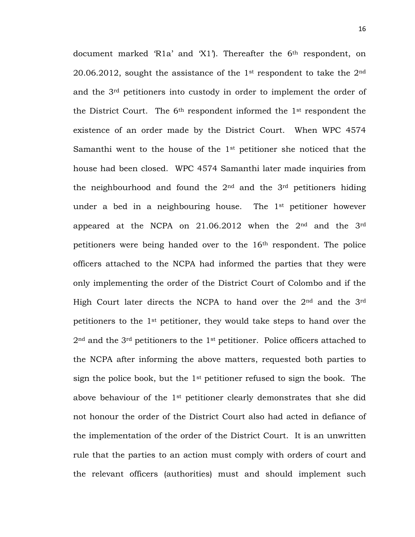document marked 'R1a' and 'X1'). Thereafter the 6<sup>th</sup> respondent, on 20.06.2012, sought the assistance of the 1<sup>st</sup> respondent to take the  $2<sup>nd</sup>$ and the 3rd petitioners into custody in order to implement the order of the District Court. The  $6<sup>th</sup>$  respondent informed the  $1<sup>st</sup>$  respondent the existence of an order made by the District Court. When WPC 4574 Samanthi went to the house of the 1st petitioner she noticed that the house had been closed. WPC 4574 Samanthi later made inquiries from the neighbourhood and found the  $2<sup>nd</sup>$  and the  $3<sup>rd</sup>$  petitioners hiding under a bed in a neighbouring house. The 1st petitioner however appeared at the NCPA on  $21.06.2012$  when the  $2<sup>nd</sup>$  and the  $3<sup>rd</sup>$ petitioners were being handed over to the 16th respondent. The police officers attached to the NCPA had informed the parties that they were only implementing the order of the District Court of Colombo and if the High Court later directs the NCPA to hand over the 2nd and the 3rd petitioners to the 1st petitioner, they would take steps to hand over the  $2<sup>nd</sup>$  and the  $3<sup>rd</sup>$  petitioners to the  $1<sup>st</sup>$  petitioner. Police officers attached to the NCPA after informing the above matters, requested both parties to sign the police book, but the  $1<sup>st</sup>$  petitioner refused to sign the book. The above behaviour of the 1st petitioner clearly demonstrates that she did not honour the order of the District Court also had acted in defiance of the implementation of the order of the District Court. It is an unwritten rule that the parties to an action must comply with orders of court and the relevant officers (authorities) must and should implement such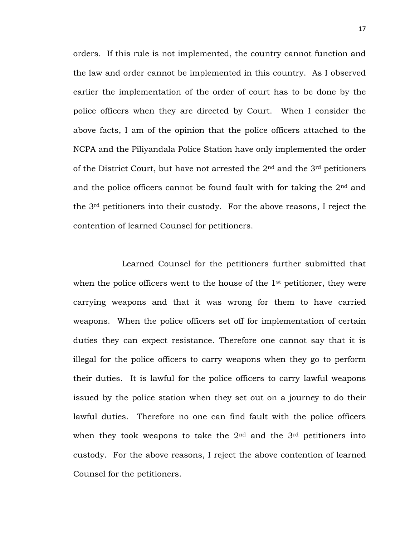orders. If this rule is not implemented, the country cannot function and the law and order cannot be implemented in this country. As I observed earlier the implementation of the order of court has to be done by the police officers when they are directed by Court. When I consider the above facts, I am of the opinion that the police officers attached to the NCPA and the Piliyandala Police Station have only implemented the order of the District Court, but have not arrested the  $2<sup>nd</sup>$  and the  $3<sup>rd</sup>$  petitioners and the police officers cannot be found fault with for taking the 2nd and the 3rd petitioners into their custody. For the above reasons, I reject the contention of learned Counsel for petitioners.

Learned Counsel for the petitioners further submitted that when the police officers went to the house of the 1<sup>st</sup> petitioner, they were carrying weapons and that it was wrong for them to have carried weapons. When the police officers set off for implementation of certain duties they can expect resistance. Therefore one cannot say that it is illegal for the police officers to carry weapons when they go to perform their duties. It is lawful for the police officers to carry lawful weapons issued by the police station when they set out on a journey to do their lawful duties. Therefore no one can find fault with the police officers when they took weapons to take the  $2<sup>nd</sup>$  and the  $3<sup>rd</sup>$  petitioners into custody. For the above reasons, I reject the above contention of learned Counsel for the petitioners.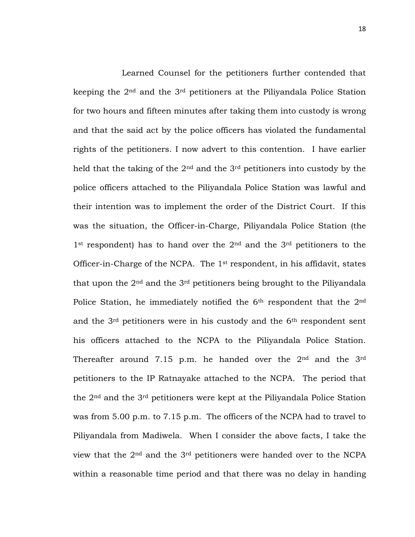Learned Counsel for the petitioners further contended that keeping the 2nd and the 3rd petitioners at the Piliyandala Police Station for two hours and fifteen minutes after taking them into custody is wrong and that the said act by the police officers has violated the fundamental rights of the petitioners. I now advert to this contention. I have earlier held that the taking of the 2nd and the 3rd petitioners into custody by the police officers attached to the Piliyandala Police Station was lawful and their intention was to implement the order of the District Court. If this was the situation, the Officer-in-Charge, Piliyandala Police Station (the  $1<sup>st</sup>$  respondent) has to hand over the  $2<sup>nd</sup>$  and the  $3<sup>rd</sup>$  petitioners to the Officer-in-Charge of the NCPA. The 1st respondent, in his affidavit, states that upon the  $2<sup>nd</sup>$  and the  $3<sup>rd</sup>$  petitioners being brought to the Piliyandala Police Station, he immediately notified the 6<sup>th</sup> respondent that the 2<sup>nd</sup> and the 3rd petitioners were in his custody and the 6th respondent sent his officers attached to the NCPA to the Piliyandala Police Station. Thereafter around 7.15 p.m. he handed over the 2<sup>nd</sup> and the 3<sup>rd</sup> petitioners to the IP Ratnayake attached to the NCPA. The period that the 2nd and the 3rd petitioners were kept at the Piliyandala Police Station was from 5.00 p.m. to 7.15 p.m. The officers of the NCPA had to travel to Piliyandala from Madiwela. When I consider the above facts, I take the view that the 2nd and the 3rd petitioners were handed over to the NCPA within a reasonable time period and that there was no delay in handing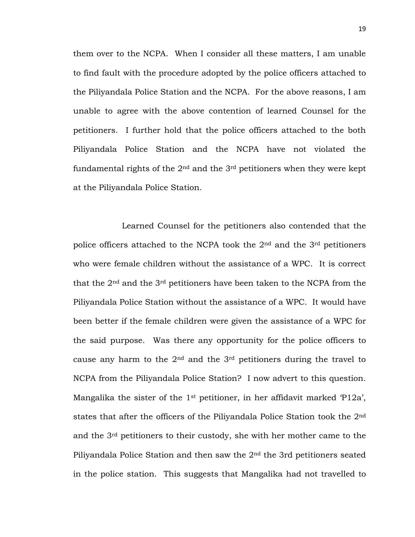them over to the NCPA. When I consider all these matters, I am unable to find fault with the procedure adopted by the police officers attached to the Piliyandala Police Station and the NCPA. For the above reasons, I am unable to agree with the above contention of learned Counsel for the petitioners. I further hold that the police officers attached to the both Piliyandala Police Station and the NCPA have not violated the fundamental rights of the  $2<sup>nd</sup>$  and the  $3<sup>rd</sup>$  petitioners when they were kept at the Piliyandala Police Station.

Learned Counsel for the petitioners also contended that the police officers attached to the NCPA took the  $2<sup>nd</sup>$  and the  $3<sup>rd</sup>$  petitioners who were female children without the assistance of a WPC. It is correct that the  $2<sup>nd</sup>$  and the  $3<sup>rd</sup>$  petitioners have been taken to the NCPA from the Piliyandala Police Station without the assistance of a WPC. It would have been better if the female children were given the assistance of a WPC for the said purpose. Was there any opportunity for the police officers to cause any harm to the  $2<sup>nd</sup>$  and the  $3<sup>rd</sup>$  petitioners during the travel to NCPA from the Piliyandala Police Station? I now advert to this question. Mangalika the sister of the 1<sup>st</sup> petitioner, in her affidavit marked 'P12a', states that after the officers of the Piliyandala Police Station took the 2nd and the 3rd petitioners to their custody, she with her mother came to the Piliyandala Police Station and then saw the 2nd the 3rd petitioners seated in the police station. This suggests that Mangalika had not travelled to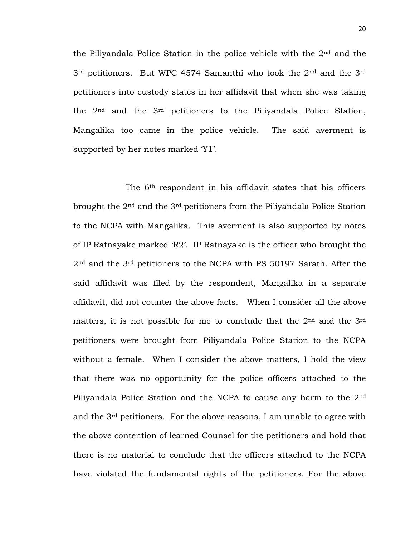the Piliyandala Police Station in the police vehicle with the  $2<sup>nd</sup>$  and the 3rd petitioners. But WPC 4574 Samanthi who took the 2nd and the 3rd petitioners into custody states in her affidavit that when she was taking the 2nd and the 3rd petitioners to the Piliyandala Police Station, Mangalika too came in the police vehicle. The said averment is supported by her notes marked 'Y1'.

The 6th respondent in his affidavit states that his officers brought the 2nd and the 3rd petitioners from the Piliyandala Police Station to the NCPA with Mangalika. This averment is also supported by notes of IP Ratnayake marked "R2". IP Ratnayake is the officer who brought the 2nd and the 3rd petitioners to the NCPA with PS 50197 Sarath. After the said affidavit was filed by the respondent, Mangalika in a separate affidavit, did not counter the above facts. When I consider all the above matters, it is not possible for me to conclude that the 2<sup>nd</sup> and the 3<sup>rd</sup> petitioners were brought from Piliyandala Police Station to the NCPA without a female. When I consider the above matters, I hold the view that there was no opportunity for the police officers attached to the Piliyandala Police Station and the NCPA to cause any harm to the 2nd and the  $3<sup>rd</sup>$  petitioners. For the above reasons, I am unable to agree with the above contention of learned Counsel for the petitioners and hold that there is no material to conclude that the officers attached to the NCPA have violated the fundamental rights of the petitioners. For the above